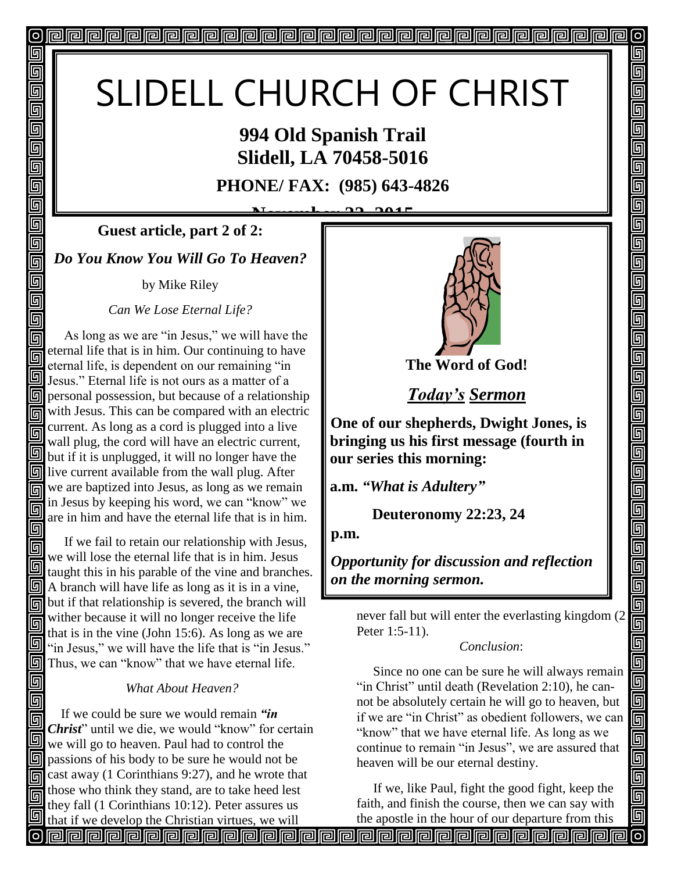## SLIDELL CHURCH OF CHRIST

## **994 Old Spanish Trail Slidell, LA 70458-5016**

**PHONE/ FAX: (985) 643-4826**

**November 22, 2015 Guest article, part 2 of 2:**

*Do You Know You Will Go To Heaven?*

回

回 回 同 回

回 回 回

回 回 回 同 回 回 回

同

同

同

同

by Mike Riley

*Can We Lose Eternal Life?*

 As long as we are "in Jesus," we will have the 同 eternal life that is in him. Our continuing to have eternal life, is dependent on our remaining "in **J** Jesus." Eternal life is not ours as a matter of a  $\boxed{9}$  personal possession, but because of a relationship with Jesus. This can be compared with an electric current. As long as a cord is plugged into a live 同 wall plug, the cord will have an electric current,  $\Box$  but if it is unplugged, it will no longer have the  $\boxed{9}$ live current available from the wall plug. After  $\sqrt{\frac{1}{2}}$  we are baptized into Jesus, as long as we remain in Jesus by keeping his word, we can "know" we 同 are in him and have the eternal life that is in him.

同 If we fail to retain our relationship with Jesus, 同 we will lose the eternal life that is in him. Jesus taught this in his parable of the vine and branches.  $\boxed{9}$  A branch will have life as long as it is in a vine, but if that relationship is severed, the branch will wither because it will no longer receive the life 同 that is in the vine (John 15:6). As long as we are  $\mathbb{I}$  "in Jesus," we will have the life that is "in Jesus." **Thus, we can "know" that we have eternal life.** 

### *What About Heaven?*

 If we could be sure we would remain *"in Christ*" until we die, we would "know" for certain 回 we will go to heaven. Paul had to control the  $\mathbb{F}$  passions of his body to be sure he would not be 同 cast away (1 Corinthians 9:27), and he wrote that those who think they stand, are to take heed lest they fall (1 Corinthians 10:12). Peter assures us



 $\sigma$ 

回

呵

5

5

回 5

<u>ๆ</u>

 $\overline{\mathbb{F}}$ 

回 回 回

<u>gg</u>

回 回 回

回 回

 $\overline{\blacksquare}$ 

99

面

回

*Today's Sermon*

**One of our shepherds, Dwight Jones, is bringing us his first message (fourth in our series this morning:** 

**a.m.** *"What is Adultery"*

 **Deuteronomy 22:23, 24**

**p.m.**

*Opportunity for discussion and reflection on the morning sermon.* 

never fall but will enter the everlasting kingdom (2 Peter 1:5-11).

#### *Conclusion*:

 Since no one can be sure he will always remain "in Christ" until death (Revelation 2:10), he cannot be absolutely certain he will go to heaven, but if we are "in Christ" as obedient followers, we can "know" that we have eternal life. As long as we continue to remain "in Jesus", we are assured that heaven will be our eternal destiny.

 If we, like Paul, fight the good fight, keep the faith, and finish the course, then we can say with the apostle in the hour of our departure from this

that if we develop the Christian virtues, we will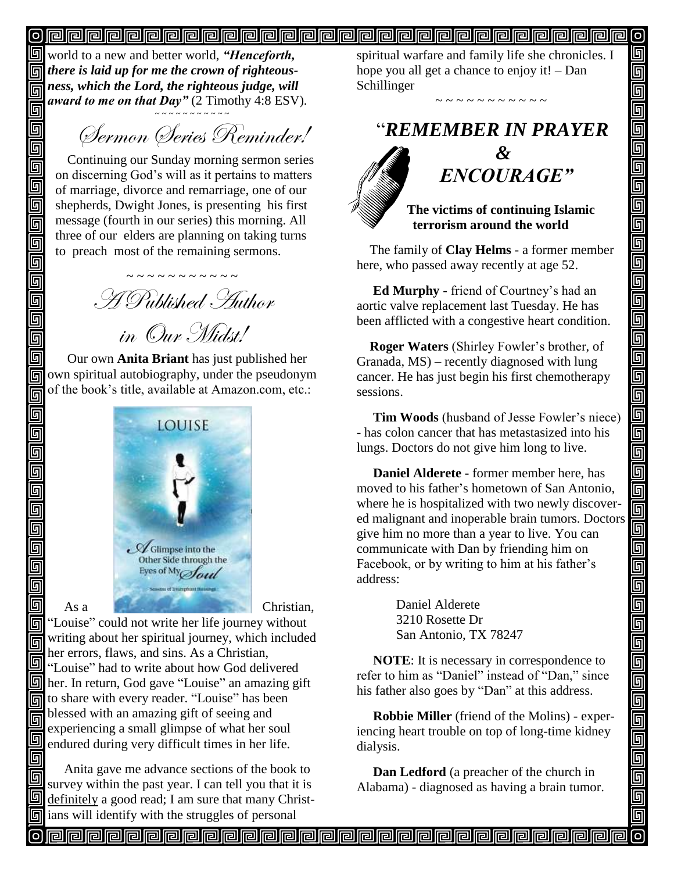### 

world to a new and better world, *"Henceforth, there is laid up for me the crown of righteousness, which the Lord, the righteous judge, will award to me on that Day"* (2 Timothy 4:8 ESV).

同

同

回

回 回

回

靣

回

回

回

回

回 回 回

同 回

回

回

回

回

回

回

回

~ ~ ~ ~ ~ ~ ~ ~ ~ ~ ~ Sermon Series Reminder!

Continuing our Sunday morning sermon series on discerning God's will as it pertains to matters of marriage, divorce and remarriage, one of our shepherds, Dwight Jones, is presenting his first message (fourth in our series) this morning. All three of our elders are planning on taking turns to preach most of the remaining sermons.

~ ~ ~ ~ ~ ~ ~ ~ ~ ~ ~ A Published Author in Our Midst!

 Our own **Anita Briant** has just published her own spiritual autobiography, under the pseudonym of the book's title, available at Amazon.com, etc.:



**I** "Louise" could not write her life journey without writing about her spiritual journey, which included 同 her errors, flaws, and sins. As a Christian, There is to the sum of the same of the delivered "Louise" had to write about how God delivered  $\boxed{9}$  her. In return, God gave "Louise" an amazing gift to share with every reader. "Louise" has been blessed with an amazing gift of seeing and 同 experiencing a small glimpse of what her soul 回 endured during very difficult times in her life.

回 Anita gave me advance sections of the book to 回 survey within the past year. I can tell you that it is definitely a good read; I am sure that many Christ- $\boxed{5}$  ians will identify with the struggles of personal

spiritual warfare and family life she chronicles. I hope you all get a chance to enjoy it! – Dan Schillinger

"*REMEMBER IN PRAYER*

~ ~ ~ ~ ~ ~ ~ ~ ~ ~ ~



## *&*

 $\sigma$ 回 回

可

回 回

呞

回

回

回

回

g<br>g

<u>alai</u>

00000

<u>gigja</u>

un<br>Die

900

 $\overline{\blacksquare}$ 

回

5

回 回

<u>| g| g|</u>

<u>s g g</u>

回

 $\bar{\overline{\mathsf{g}}}$ 

 $\overline{\mathbb{F}}$ 回

# " *ENCOURAGE"*

 **The victims of continuing Islamic terrorism around the world**

The family of **Clay Helms** - a former member here, who passed away recently at age 52.

 **Ed Murphy** - friend of Courtney's had an aortic valve replacement last Tuesday. He has been afflicted with a congestive heart condition.

 **Roger Waters** (Shirley Fowler's brother, of Granada, MS) – recently diagnosed with lung cancer. He has just begin his first chemotherapy sessions.

 **Tim Woods** (husband of Jesse Fowler's niece) - has colon cancer that has metastasized into his lungs. Doctors do not give him long to live.

 **Daniel Alderete -** former member here, has moved to his father's hometown of San Antonio, where he is hospitalized with two newly discovered malignant and inoperable brain tumors. Doctors give him no more than a year to live. You can communicate with Dan by friending him on Facebook, or by writing to him at his father's address:

> Daniel Alderete 3210 Rosette Dr San Antonio, TX 78247

 **NOTE**: It is necessary in correspondence to refer to him as "Daniel" instead of "Dan," since his father also goes by "Dan" at this address.

 **Robbie Miller** (friend of the Molins) - experiencing heart trouble on top of long-time kidney dialysis.

 **Dan Ledford** (a preacher of the church in Alabama) - diagnosed as having a brain tumor.

<u>papapapapapapapapapapapapapapapa</u>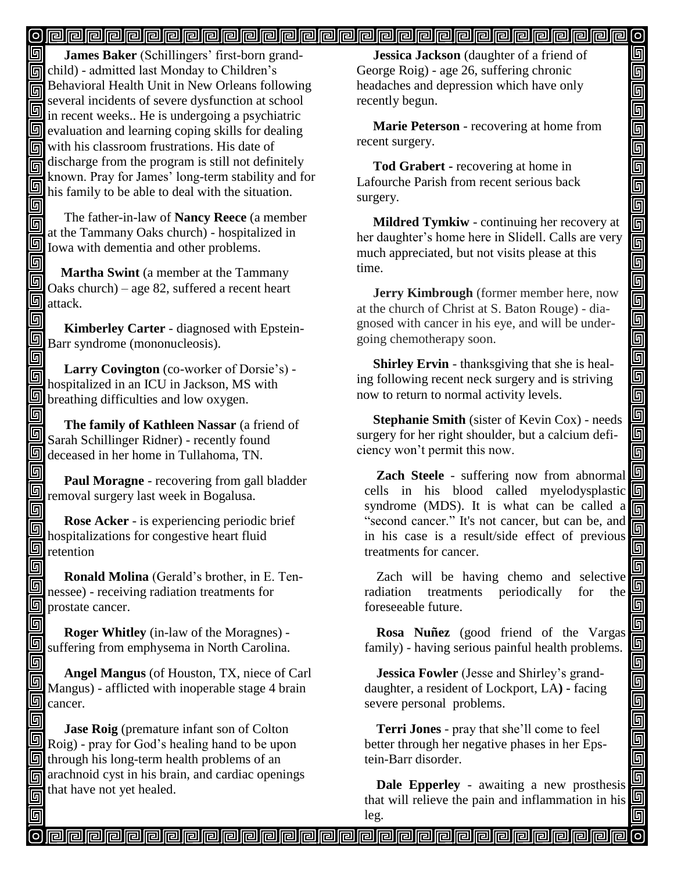#### <u>o popopopopopopopopopopopopopopopopop</u>  $\mathsf{[o]}$

同  **James Baker** (Schillingers' first-born grandchild) - admitted last Monday to Children's Behavioral Health Unit in New Orleans following several incidents of severe dysfunction at school **in** several increasing of several several in recent weeks.. He is undergoing a psychiatric  $\boxed{9}$  evaluation and learning coping skills for dealing with his classroom frustrations. His date of discharge from the program is still not definitely known. Pray for James' long-term stability and for  $\sum$  his family to be able to deal with the situation. 回

 The father-in-law of **Nancy Reece** (a member 回 at the Tammany Oaks church) - hospitalized in Iowa with dementia and other problems.

回 **Martha Swint** (a member at the Tammany  $\Box$  Oaks church) – age 82, suffered a recent heart  $\overline{\mathbb{S}}$  attack.

回  **Kimberley Carter** - diagnosed with Epstein-Barr syndrome (mononucleosis). 回

 **Larry Covington** (co-worker of Dorsie's) - 阃 hospitalized in an ICU in Jackson, MS with **b** breathing difficulties and low oxygen.

5 **The family of Kathleen Nassar** (a friend of Sarah Schillinger Ridner) - recently found deceased in her home in Tullahoma, TN.

回 **Paul Moragne** - recovering from gall bladder removal surgery last week in Bogalusa. 回

 **Rose Acker** - is experiencing periodic brief 同 hospitalizations for congestive heart fluid  $\overline{\mathbb{F}}$  retention

同  **Ronald Molina** (Gerald's brother, in E. Tennessee) - receiving radiation treatments for prostate cancer.

回  **Roger Whitley** (in-law of the Moragnes) suffering from emphysema in North Carolina.

回  **Angel Mangus** (of Houston, TX, niece of Carl 回 Mangus) - afflicted with inoperable stage 4 brain  $\Box$  cancer.

回 **Jase Roig** (premature infant son of Colton Roig) - pray for God's healing hand to be upon  $\mathbb{F}$  through his long-term health problems of an arachnoid cyst in his brain, and cardiac openings that have not yet healed. 同

回

 **Jessica Jackson** (daughter of a friend of George Roig) - age 26, suffering chronic headaches and depression which have only recently begun.

回 回

<u>ololo (a</u>

اواواواواواواواواواواواواواوا

画 回

<u>Fi</u>

da<br>Di

回

 $\overline{\mathsf{G}}$  $\overline{\mathsf{G}}$ 回

画

90000

画画

 $\overline{\mathsf{G}}$ 

靣

 **Marie Peterson** - recovering at home from recent surgery.

 **Tod Grabert -** recovering at home in Lafourche Parish from recent serious back surgery.

 **Mildred Tymkiw** - continuing her recovery at her daughter's home here in Slidell. Calls are very much appreciated, but not visits please at this time.

 **Jerry Kimbrough** (former member here, now at the church of Christ at S. Baton Rouge) - diagnosed with cancer in his eye, and will be undergoing chemotherapy soon. Î

 **Shirley Ervin** - thanksgiving that she is healing following recent neck surgery and is striving now to return to normal activity levels.

 **Stephanie Smith** (sister of Kevin Cox) - needs surgery for her right shoulder, but a calcium deficiency won't permit this now.

**Zach Steele** - suffering now from abnormal cells in his blood called myelodysplastic  $\boxed{ \boxed{ } }$ syndrome (MDS). It is what can be called a "second cancer." It's not cancer, but can be, and in his case is a result/side effect of previous treatments for cancer.

Zach will be having chemo and selective radiation treatments periodically for the foreseeable future.

**Rosa Nuñez** (good friend of the Vargas family) - having serious painful health problems.

**Jessica Fowler** (Jesse and Shirley's granddaughter, a resident of Lockport, LA**) -** facing severe personal problems.

**Terri Jones** - pray that she'll come to feel better through her negative phases in her Epstein-Barr disorder.

**Dale Epperley** - awaiting a new prosthesis that will relieve the pain and inflammation in his leg.

<u>o popopopopopopopopopopopopopopopopop</u>